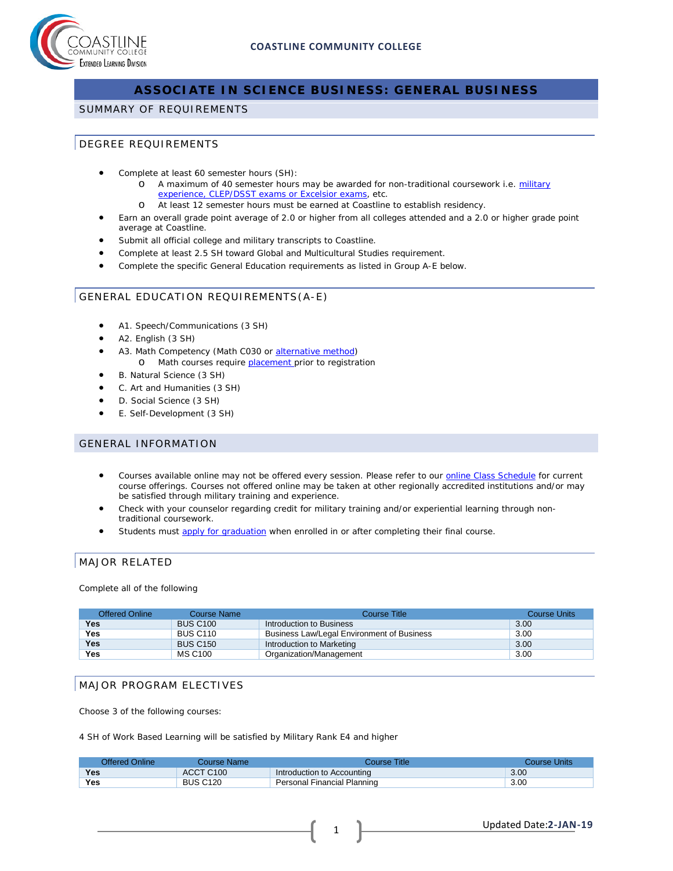

# **ASSOCIATE IN SCIENCE BUSINESS: GENERAL BUSINESS**

## SUMMARY OF REQUIREMENTS

## DEGREE REQUIREMENTS

- Complete at least 60 semester hours (SH):
	- o A maximum of 40 semester hours may be awarded for non-traditional coursework i.e. military [experience, CLEP/DSST exams or Excelsior exams,](http://military.coastline.edu/page.cfm?LinkID=1473) etc.
	- o At least 12 semester hours must be earned at Coastline to establish residency.
- Earn an overall grade point average of 2.0 or higher from all colleges attended and a 2.0 or higher grade point average at Coastline.
- Submit all official college and military transcripts to Coastline.
- Complete at least 2.5 SH toward Global and Multicultural Studies requirement.
- Complete the specific General Education requirements as listed in Group A-E below.

## GENERAL EDUCATION REQUIREMENTS(A-E)

- A1. Speech/Communications (3 SH)
- A2. English (3 SH)
- A3. Math Competency (Math C030 or [alternative method\)](http://military.coastline.edu/forms/page.cfm?LinkID=1446) o Math courses require **placement** prior to registration
- B. Natural Science (3 SH)
- C. Art and Humanities (3 SH)
- D. Social Science (3 SH)
- E. Self-Development (3 SH)

#### GENERAL INFORMATION

- Courses available online may not be offered every session. Please refer to our [online Class](http://military.coastline.edu/schedule/page.cfm?LinkID=1706) Schedule for current course offerings. Courses not offered online may be taken at other regionally accredited institutions and/or may be satisfied through military training and experience.
- Check with your counselor regarding credit for military training and/or experiential learning through nontraditional coursework.
- Students must [apply for graduation](http://military.coastline.edu/active-duty/page.cfm?LinkID=1437) when enrolled in or after completing their final course.

# MAJOR RELATED

Complete all of the following

| <b>Offered Online</b> | Course Name     | Course Title                               | <b>Course Units</b> |
|-----------------------|-----------------|--------------------------------------------|---------------------|
| Yes                   | <b>BUS C100</b> | Introduction to Business                   | 3.00                |
| Yes                   | <b>BUS C110</b> | Business Law/Legal Environment of Business | 3.00                |
| <b>Yes</b>            | <b>BUS C150</b> | Introduction to Marketing                  | 3.00                |
| Yes                   | MS C100         | Organization/Management                    | 3.00                |

## MAJOR PROGRAM ELECTIVES

Choose 3 of the following courses:

4 SH of Work Based Learning will be satisfied by Military Rank E4 and higher

| Offered Online | Course Name:          | Course Title.               | Course Units |
|----------------|-----------------------|-----------------------------|--------------|
| Yes            | ACCT C <sub>100</sub> | Introduction to Accounting  | 3.00         |
| <b>Yes</b>     | <b>BUS C120</b>       | Personal Financial Planning | 3.00         |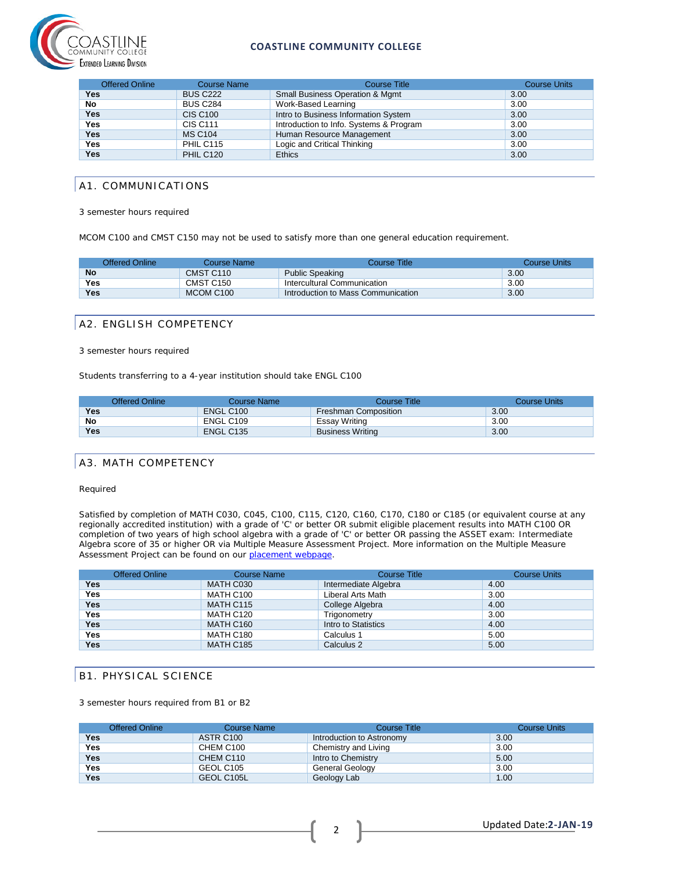

## **COASTLINE COMMUNITY COLLEGE**

| <b>Offered Online</b> | <b>Course Name</b>         | <b>Course Title</b>                        | <b>Course Units</b> |
|-----------------------|----------------------------|--------------------------------------------|---------------------|
| <b>Yes</b>            | <b>BUS C222</b>            | <b>Small Business Operation &amp; Mgmt</b> | 3.00                |
| No                    | <b>BUS C284</b>            | Work-Based Learning                        | 3.00                |
| <b>Yes</b>            | <b>CIS C<sub>100</sub></b> | Intro to Business Information System       | 3.00                |
| <b>Yes</b>            | CIS C <sub>111</sub>       | Introduction to Info. Systems & Program    | 3.00                |
| <b>Yes</b>            | <b>MS C104</b>             | Human Resource Management                  | 3.00                |
| Yes                   | PHIL C115                  | Logic and Critical Thinking                | 3.00                |
| <b>Yes</b>            | <b>PHIL C120</b>           | <b>Ethics</b>                              | 3.00                |

## A1. COMMUNICATIONS

3 semester hours required

MCOM C100 and CMST C150 may not be used to satisfy more than one general education requirement.

| Offered Online | Course Name           | Course Title:                      | Course Units |
|----------------|-----------------------|------------------------------------|--------------|
| <b>No</b>      | CMST C110             | <b>Public Speaking</b>             | 3.00         |
| Yes            | CMST C <sub>150</sub> | Intercultural Communication        | 3.00         |
| <b>Yes</b>     | MCOM C <sub>100</sub> | Introduction to Mass Communication | 3.00         |

#### A2. ENGLISH COMPETENCY

#### 3 semester hours required

Students transferring to a 4-year institution should take ENGL C100

|            | Offered Online | Course Name | Course Title            | Course Units |
|------------|----------------|-------------|-------------------------|--------------|
| Yes        |                | ENGL C100   | Freshman Composition    | 3.00         |
| No         |                | ENGL C109   | Essay Writing           | 3.00         |
| <b>Yes</b> |                | ENGL C135   | <b>Business Writing</b> | 3.00         |

## A3. MATH COMPETENCY

Required

Satisfied by completion of MATH C030, C045, C100, C115, C120, C160, C170, C180 or C185 (or equivalent course at any regionally accredited institution) with a grade of 'C' or better OR submit eligible placement results into MATH C100 OR completion of two years of high school algebra with a grade of 'C' or better OR passing the ASSET exam: Intermediate Algebra score of 35 or higher OR via Multiple Measure Assessment Project. More information on the Multiple Measure Assessment Project can be found on our [placement webpage.](http://military.coastline.edu/active-duty/page.cfm?LinkID=1446)

|            | <b>Offered Online</b> | <b>Course Name</b> | <b>Course Title</b>  | <b>Course Units</b> |
|------------|-----------------------|--------------------|----------------------|---------------------|
| <b>Yes</b> |                       | MATH C030          | Intermediate Algebra | 4.00                |
| Yes        |                       | MATH C100          | Liberal Arts Math    | 3.00                |
| <b>Yes</b> |                       | MATH C115          | College Algebra      | 4.00                |
| <b>Yes</b> |                       | MATH C120          | Trigonometry         | 3.00                |
| <b>Yes</b> |                       | MATH C160          | Intro to Statistics  | 4.00                |
| Yes        |                       | MATH C180          | Calculus 1           | 5.00                |
| <b>Yes</b> |                       | MATH C185          | Calculus 2           | 5.00                |

# B1. PHYSICAL SCIENCE

3 semester hours required from B1 or B2

|            | <b>Offered Online</b> | Course Name | Course Title              | <b>Course Units</b> |
|------------|-----------------------|-------------|---------------------------|---------------------|
| Yes        |                       | ASTR C100   | Introduction to Astronomy | 3.00                |
| Yes        |                       | CHEM C100   | Chemistry and Living      | 3.00                |
| <b>Yes</b> |                       | CHEM C110   | Intro to Chemistry        | 5.00                |
| Yes        |                       | GEOL C105   | General Geology           | 3.00                |
| <b>Yes</b> |                       | GEOL C105L  | Geology Lab               | 1.00                |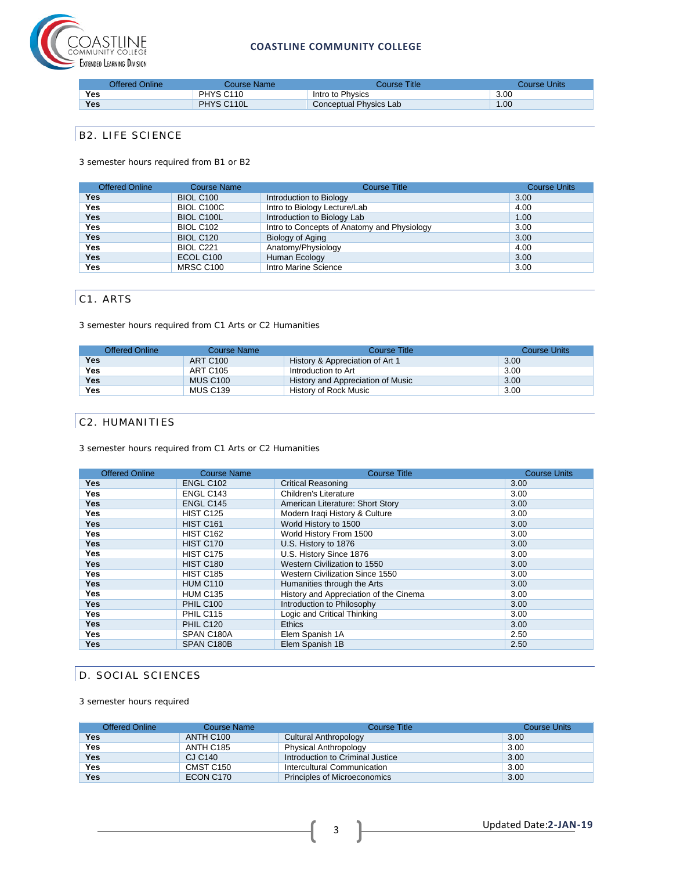

## **COASTLINE COMMUNITY COLLEGE**

|     | Offered Online | Course Name           | Course Title <sup>-</sup> | <b>Course Units</b> |
|-----|----------------|-----------------------|---------------------------|---------------------|
| Yes |                | PHYS C <sub>110</sub> | Intro to Physics          | 3.00                |
| Yes |                | PHYS C110L            | Conceptual Physics Lab    | 1.00                |

# B2. LIFE SCIENCE

3 semester hours required from B1 or B2

| <b>Offered Online</b> | <b>Course Name</b> | <b>Course Title</b>                         | <b>Course Units</b> |
|-----------------------|--------------------|---------------------------------------------|---------------------|
| Yes                   | <b>BIOL C100</b>   | Introduction to Biology                     | 3.00                |
| <b>Yes</b>            | BIOL C100C         | Intro to Biology Lecture/Lab                | 4.00                |
| <b>Yes</b>            | <b>BIOL C100L</b>  | Introduction to Biology Lab                 | 1.00                |
| Yes                   | <b>BIOL C102</b>   | Intro to Concepts of Anatomy and Physiology | 3.00                |
| <b>Yes</b>            | <b>BIOL C120</b>   | Biology of Aging                            | 3.00                |
| <b>Yes</b>            | BIOL C221          | Anatomy/Physiology                          | 4.00                |
| <b>Yes</b>            | ECOL C100          | Human Ecology                               | 3.00                |
| Yes                   | MRSC C100          | Intro Marine Science                        | 3.00                |

# C1. ARTS

3 semester hours required from C1 Arts or C2 Humanities

| <b>Offered Online</b> | Course Name     | Course Title                      | Course Units |
|-----------------------|-----------------|-----------------------------------|--------------|
| Yes                   | <b>ART C100</b> | History & Appreciation of Art 1   | 3.00         |
| <b>Yes</b>            | ART C105        | Introduction to Art               | 3.00         |
| <b>Yes</b>            | <b>MUS C100</b> | History and Appreciation of Music | 3.00         |
| Yes                   | <b>MUS C139</b> | History of Rock Music             | 3.00         |

# C2. HUMANITIES

3 semester hours required from C1 Arts or C2 Humanities

| <b>Offered Online</b> | <b>Course Name</b> | <b>Course Title</b>                    | <b>Course Units</b> |
|-----------------------|--------------------|----------------------------------------|---------------------|
| <b>Yes</b>            | ENGL C102          | <b>Critical Reasoning</b>              | 3.00                |
| Yes                   | ENGL C143          | <b>Children's Literature</b>           | 3.00                |
| <b>Yes</b>            | ENGL C145          | American Literature: Short Story       | 3.00                |
| Yes                   | <b>HIST C125</b>   | Modern Iraqi History & Culture         | 3.00                |
| <b>Yes</b>            | <b>HIST C161</b>   | World History to 1500                  | 3.00                |
| Yes                   | <b>HIST C162</b>   | World History From 1500                | 3.00                |
| <b>Yes</b>            | <b>HIST C170</b>   | U.S. History to 1876                   | 3.00                |
| Yes                   | HIST C175          | U.S. History Since 1876                | 3.00                |
| <b>Yes</b>            | <b>HIST C180</b>   | Western Civilization to 1550           | 3.00                |
| <b>Yes</b>            | <b>HIST C185</b>   | Western Civilization Since 1550        | 3.00                |
| <b>Yes</b>            | <b>HUM C110</b>    | Humanities through the Arts            | 3.00                |
| <b>Yes</b>            | <b>HUM C135</b>    | History and Appreciation of the Cinema | 3.00                |
| <b>Yes</b>            | <b>PHIL C100</b>   | Introduction to Philosophy             | 3.00                |
| <b>Yes</b>            | PHIL C115          | Logic and Critical Thinking            | 3.00                |
| <b>Yes</b>            | <b>PHIL C120</b>   | <b>Ethics</b>                          | 3.00                |
| <b>Yes</b>            | SPAN C180A         | Elem Spanish 1A                        | 2.50                |
| <b>Yes</b>            | SPAN C180B         | Elem Spanish 1B                        | 2.50                |

# D. SOCIAL SCIENCES

3 semester hours required

| <b>Offered Online</b> | Course Name | Course Title                     | <b>Course Units</b> |
|-----------------------|-------------|----------------------------------|---------------------|
| Yes                   | ANTH C100   | Cultural Anthropology            | 3.00                |
| <b>Yes</b>            | ANTH C185   | Physical Anthropology            | 3.00                |
| <b>Yes</b>            | CJ C140     | Introduction to Criminal Justice | 3.00                |
| <b>Yes</b>            | CMST C150   | Intercultural Communication      | 3.00                |
| Yes                   | ECON C170   | Principles of Microeconomics     | 3.00                |